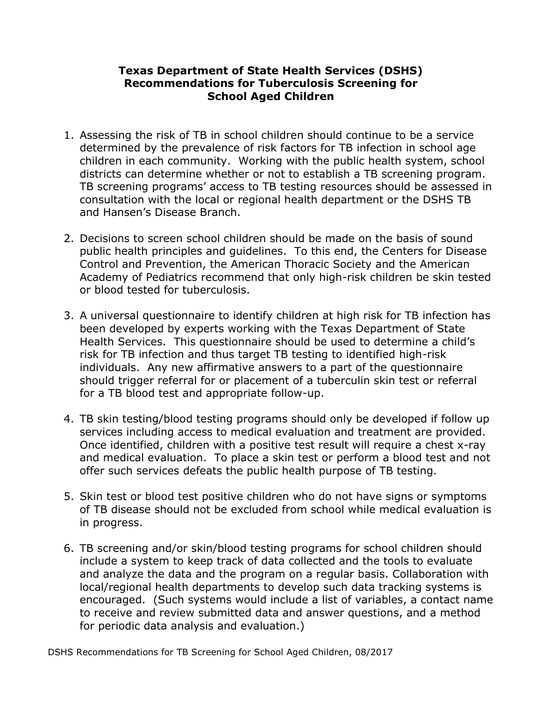## **Texas Department of State Health Services (DSHS) Recommendations for Tuberculosis Screening for School Aged Children**

- 1. Assessing the risk of TB in school children should continue to be a service determined by the prevalence of risk factors for TB infection in school age children in each community. Working with the public health system, school districts can determine whether or not to establish a TB screening program. TB screening programs' access to TB testing resources should be assessed in consultation with the local or regional health department or the DSHS TB and Hansen's Disease Branch.
- 2. Decisions to screen school children should be made on the basis of sound public health principles and guidelines. To this end, the Centers for Disease Control and Prevention, the American Thoracic Society and the American Academy of Pediatrics recommend that only high-risk children be skin tested or blood tested for tuberculosis.
- 3. A universal questionnaire to identify children at high risk for TB infection has been developed by experts working with the Texas Department of State Health Services. This questionnaire should be used to determine a child's risk for TB infection and thus target TB testing to identified high-risk individuals. Any new affirmative answers to a part of the questionnaire should trigger referral for or placement of a tuberculin skin test or referral for a TB blood test and appropriate follow-up.
- 4. TB skin testing/blood testing programs should only be developed if follow up services including access to medical evaluation and treatment are provided. Once identified, children with a positive test result will require a chest x-ray and medical evaluation. To place a skin test or perform a blood test and not offer such services defeats the public health purpose of TB testing.
- 5. Skin test or blood test positive children who do not have signs or symptoms of TB disease should not be excluded from school while medical evaluation is in progress.
- 6. TB screening and/or skin/blood testing programs for school children should include a system to keep track of data collected and the tools to evaluate and analyze the data and the program on a regular basis. Collaboration with local/regional health departments to develop such data tracking systems is encouraged. (Such systems would include a list of variables, a contact name to receive and review submitted data and answer questions, and a method for periodic data analysis and evaluation.)